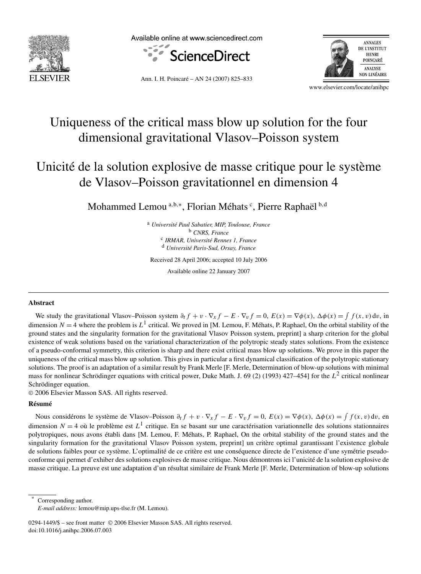

Available online at www.sciencedirect.com





Ann. I. H. Poincaré – AN 24 (2007) 825–833

www.elsevier.com/locate/anihpc

# Uniqueness of the critical mass blow up solution for the four dimensional gravitational Vlasov–Poisson system

# Unicité de la solution explosive de masse critique pour le système de Vlasov–Poisson gravitationnel en dimension 4

Mohammed Lemou <sup>a,b,∗</sup>, Florian Méhats <sup>c</sup>, Pierre Raphaël <sup>b,d</sup>

<sup>a</sup> *Université Paul Sabatier, MIP, Toulouse, France* <sup>b</sup> *CNRS, France* <sup>c</sup> *IRMAR, Université Rennes 1, France* <sup>d</sup> *Université Paris-Sud, Orsay, France*

Received 28 April 2006; accepted 10 July 2006

Available online 22 January 2007

### **Abstract**

We study the gravitational Vlasov–Poisson system  $\partial_t f + v \cdot \nabla_x f - E \cdot \nabla_v f = 0$ ,  $E(x) = \nabla \phi(x)$ ,  $\Delta \phi(x) = \int f(x, v) dv$ , in dimension  $N = 4$  where the problem is  $L<sup>1</sup>$  critical. We proved in [M. Lemou, F. Méhats, P. Raphael, On the orbital stability of the ground states and the singularity formation for the gravitational Vlasov Poisson system, preprint] a sharp criterion for the global existence of weak solutions based on the variational characterization of the polytropic steady states solutions. From the existence of a pseudo-conformal symmetry, this criterion is sharp and there exist critical mass blow up solutions. We prove in this paper the uniqueness of the critical mass blow up solution. This gives in particular a first dynamical classification of the polytropic stationary solutions. The proof is an adaptation of a similar result by Frank Merle [F. Merle, Determination of blow-up solutions with minimal mass for nonlinear Schrödinger equations with critical power, Duke Math. J. 69 (2) (1993) 427–454] for the *L*<sup>2</sup> critical nonlinear Schrödinger equation.

© 2006 Elsevier Masson SAS. All rights reserved.

#### **Résumé**

Nous considérons le système de Vlasov–Poisson  $\partial_t f + v \cdot \nabla_x f - E \cdot \nabla_v f = 0$ ,  $E(x) = \nabla \phi(x)$ ,  $\Delta \phi(x) = \int f(x, v) dv$ , en dimension  $N = 4$  où le problème est  $L<sup>1</sup>$  critique. En se basant sur une caractérisation variationnelle des solutions stationnaires polytropiques, nous avons établi dans [M. Lemou, F. Méhats, P. Raphael, On the orbital stability of the ground states and the singularity formation for the gravitational Vlasov Poisson system, preprint] un critère optimal garantissant l'existence globale de solutions faibles pour ce système. L'optimalité de ce critère est une conséquence directe de l'existence d'une symétrie pseudoconforme qui permet d'exhiber des solutions explosives de masse critique. Nous démontrons ici l'unicité de la solution explosive de masse critique. La preuve est une adaptation d'un résultat similaire de Frank Merle [F. Merle, Determination of blow-up solutions

Corresponding author.

0294-1449/\$ – see front matter © 2006 Elsevier Masson SAS. All rights reserved. doi:10.1016/j.anihpc.2006.07.003

*E-mail address:* lemou@mip.ups-tlse.fr (M. Lemou).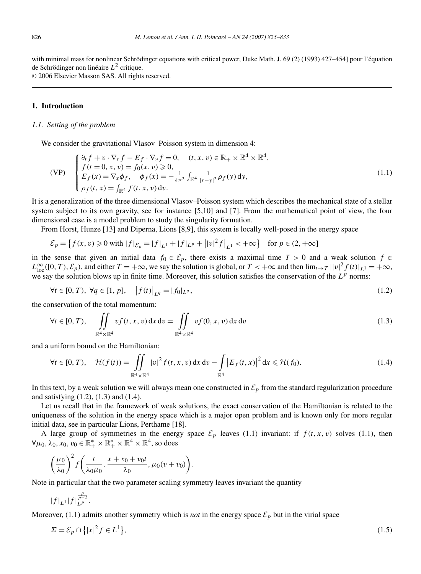with minimal mass for nonlinear Schrödinger equations with critical power, Duke Math. J. 69 (2) (1993) 427–454] pour l'équation de Schrödinger non linéaire *L*<sup>2</sup> critique.

© 2006 Elsevier Masson SAS. All rights reserved.

## **1. Introduction**

### *1.1. Setting of the problem*

We consider the gravitational Vlasov–Poisson system in dimension 4:

$$
\text{(VP)} \quad\n\begin{cases}\n\partial_t f + v \cdot \nabla_x f - E_f \cdot \nabla_v f = 0, & (t, x, v) \in \mathbb{R}_+ \times \mathbb{R}^4 \times \mathbb{R}^4, \\
f(t = 0, x, v) = f_0(x, v) \ge 0, \\
E_f(x) = \nabla_x \phi_f, & \phi_f(x) = -\frac{1}{4\pi^2} \int_{\mathbb{R}^4} \frac{1}{|x - y|^2} \rho_f(y) \, \mathrm{d}y, \\
\rho_f(t, x) = \int_{\mathbb{R}^4} f(t, x, v) \, \mathrm{d}v.\n\end{cases}\n\tag{1.1}
$$

It is a generalization of the three dimensional Vlasov–Poisson system which describes the mechanical state of a stellar system subject to its own gravity, see for instance [5,10] and [7]. From the mathematical point of view, the four dimensional case is a model problem to study the singularity formation.

From Horst, Hunze [13] and Diperna, Lions [8,9], this system is locally well-posed in the energy space

$$
\mathcal{E}_p = \left\{ f(x, v) \ge 0 \text{ with } |f|_{\mathcal{E}_p} = |f|_{L^1} + |f|_{L^p} + \left| |v|^2 f \right|_{L^1} < +\infty \right\} \text{ for } p \in (2, +\infty]
$$

in the sense that given an initial data  $f_0 \in \mathcal{E}_p$ , there exists a maximal time  $T > 0$  and a weak solution  $f \in$  $L_{\text{loc}}^{\infty}([0, T), \mathcal{E}_p)$ , and either  $T = +\infty$ , we say the solution is global, or  $T < +\infty$  and then  $\lim_{t \to T} ||v|^2 f(t) |_{L^1} = +\infty$ , we say the solution blows up in finite time. Moreover, this solution satisfies the conservation of the  $L^p$  norms:

$$
\forall t \in [0, T), \ \forall q \in [1, p], \quad |f(t)|_{L^q} = |f_0|_{L^q}, \tag{1.2}
$$

the conservation of the total momentum:

$$
\forall t \in [0, T), \quad \iint\limits_{\mathbb{R}^4 \times \mathbb{R}^4} v f(t, x, v) \, dx \, dv = \iint\limits_{\mathbb{R}^4 \times \mathbb{R}^4} v f(0, x, v) \, dx \, dv \tag{1.3}
$$

and a uniform bound on the Hamiltonian:

$$
\forall t \in [0, T), \quad \mathcal{H}(f(t)) = \iint_{\mathbb{R}^4 \times \mathbb{R}^4} |v|^2 f(t, x, v) \, dx \, dv - \int_{\mathbb{R}^4} |E_f(t, x)|^2 \, dx \leq \mathcal{H}(f_0).
$$
 (1.4)

In this text, by a weak solution we will always mean one constructed in  $\mathcal{E}_p$  from the standard regularization procedure and satisfying (1.2), (1.3) and (1.4).

Let us recall that in the framework of weak solutions, the exact conservation of the Hamiltonian is related to the uniqueness of the solution in the energy space which is a major open problem and is known only for more regular initial data, see in particular Lions, Perthame [18].

A large group of symmetries in the energy space  $\mathcal{E}_p$  leaves (1.1) invariant: if  $f(t, x, v)$  solves (1.1), then  $\forall \mu_0, \lambda_0, x_0, v_0 \in \mathbb{R}_+^* \times \mathbb{R}_+^* \times \mathbb{R}^4 \times \mathbb{R}^4$ , so does

$$
\left(\frac{\mu_0}{\lambda_0}\right)^2 f\left(\frac{t}{\lambda_0\mu_0}, \frac{x+x_0+v_0t}{\lambda_0}, \mu_0(v+v_0)\right).
$$

Note in particular that the two parameter scaling symmetry leaves invariant the quantity

$$
|f|_{L^1}|f|_{L^p}^{\frac{p}{p-2}}.
$$

Moreover, (1.1) admits another symmetry which is *not* in the energy space  $\mathcal{E}_p$  but in the virial space

$$
\Sigma = \mathcal{E}_p \cap \{|x|^2 f \in L^1\},\tag{1.5}
$$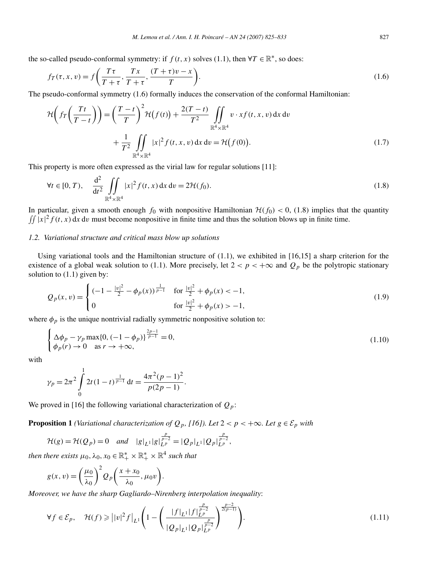the so-called pseudo-conformal symmetry: if  $f(t, x)$  solves (1.1), then  $\forall T \in \mathbb{R}^*$ , so does:

$$
f_T(\tau, x, v) = f\left(\frac{T\tau}{T+\tau}, \frac{T x}{T+\tau}, \frac{(T+\tau)v - x}{T}\right).
$$
\n(1.6)

The pseudo-conformal symmetry (1.6) formally induces the conservation of the conformal Hamiltonian:

$$
\mathcal{H}\left(f_T\left(\frac{Tt}{T-t}\right)\right) = \left(\frac{T-t}{T}\right)^2 \mathcal{H}\left(f(t)\right) + \frac{2(T-t)}{T^2} \iint\limits_{\mathbb{R}^4 \times \mathbb{R}^4} v \cdot xf(t, x, v) \, dx \, dv \n+ \frac{1}{T^2} \iint\limits_{\mathbb{R}^4 \times \mathbb{R}^4} |x|^2 f(t, x, v) \, dx \, dv = \mathcal{H}\left(f(0)\right).
$$
\n(1.7)

This property is more often expressed as the virial law for regular solutions [11]:

$$
\forall t \in [0, T), \quad \frac{d^2}{dt^2} \iint_{\mathbb{R}^4 \times \mathbb{R}^4} |x|^2 f(t, x) dx dv = 2\mathcal{H}(f_0).
$$
 (1.8)

In particular, given a smooth enough  $f_0$  with nonpositive Hamiltonian  $H(f_0) < 0$ , (1.8) implies that the quantity  $\iint |x|^2 f(t, x) dx dv$  must become nonpositive in finite time and thus the solution blows up in finite time.

# *1.2. Variational structure and critical mass blow up solutions*

Using variational tools and the Hamiltonian structure of  $(1.1)$ , we exhibited in  $[16,15]$  a sharp criterion for the existence of a global weak solution to (1.1). More precisely, let  $2 < p < +\infty$  and  $Q_p$  be the polytropic stationary solution to (1.1) given by:

$$
Q_p(x,v) = \begin{cases} (-1 - \frac{|v|^2}{2} - \phi_p(x))^{\frac{1}{p-1}} & \text{for } \frac{|v|^2}{2} + \phi_p(x) < -1, \\ 0 & \text{for } \frac{|v|^2}{2} + \phi_p(x) > -1, \end{cases}
$$
(1.9)

where  $\phi_p$  is the unique nontrivial radially symmetric nonpositive solution to:

$$
\begin{cases} \Delta \phi_p - \gamma_p \max\{0, (-1 - \phi_p)\}^{\frac{2p-1}{p-1}} = 0, \\ \phi_p(r) \to 0 \quad \text{as } r \to +\infty, \end{cases}
$$
 (1.10)

with

$$
\gamma_p = 2\pi^2 \int_0^1 2t(1-t)^{\frac{1}{p-1}} dt = \frac{4\pi^2(p-1)^2}{p(2p-1)}
$$

We proved in [16] the following variational characterization of  $Q_p$ :

**Proposition 1** *(Variational characterization of*  $Q_p$ *, [16]). Let*  $2 < p < +\infty$ *. Let*  $g \in \mathcal{E}_p$  *with* 

$$
\mathcal{H}(g) = \mathcal{H}(Q_p) = 0 \quad \text{and} \quad |g|_{L^1} |g|_{L^p}^{\frac{p}{p-2}} = |Q_p|_{L^1} |Q_p|_{L^p}^{\frac{p}{p-2}},
$$

*then there exists*  $\mu_0, \lambda_0, x_0 \in \mathbb{R}_+^* \times \mathbb{R}_+^* \times \mathbb{R}^4$  *such that* 

$$
g(x, v) = \left(\frac{\mu_0}{\lambda_0}\right)^2 Q_p\left(\frac{x + x_0}{\lambda_0}, \mu_0 v\right).
$$

*Moreover, we have the sharp Gagliardo–Nirenberg interpolation inequality*:

$$
\forall f \in \mathcal{E}_p, \quad \mathcal{H}(f) \geq ||v|^2 f \Big|_{L^1} \Bigg( 1 - \Bigg( \frac{|f|_{L^1} |f|_{L^p}^{\frac{p}{p-2}}}{|\mathcal{Q}_p|_{L^1} |\mathcal{Q}_p|_{L^p}^{\frac{p}{p-2}}} \Bigg)^{\frac{p-2}{2(p-1)}} \Bigg). \tag{1.11}
$$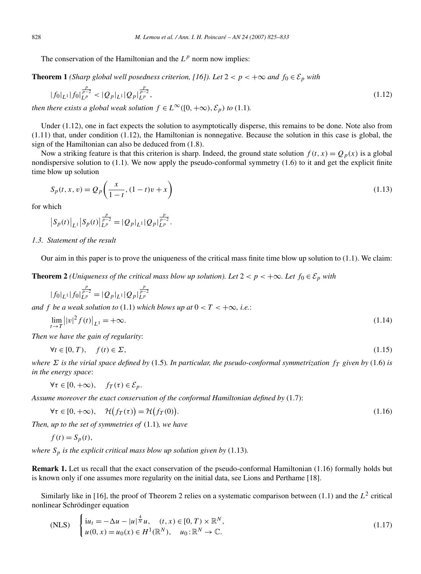The conservation of the Hamiltonian and the  $L^p$  norm now implies:

**Theorem 1** *(Sharp global well posedness criterion, [16]). Let*  $2 < p < +\infty$  *and*  $f_0 \in \mathcal{E}_p$  *with* 

$$
|f_0|_{L^1}|f_0|_{L^p}^{\frac{p}{p-2}} < |Q_p|_{L^1}|Q_p|_{L^p}^{\frac{p}{p-2}},
$$
\nthus, units, a global weak solution,  $f \in L^\infty([0, +\infty), S_0) \setminus (0, +1)$ .

\n(1.12)

*then there exists a global weak solution*  $f \in L^{\infty}([0, +\infty), \mathcal{E}_p)$  *to* (1.1)*.* 

Under (1.12), one in fact expects the solution to asymptotically disperse, this remains to be done. Note also from  $(1.11)$  that, under condition  $(1.12)$ , the Hamiltonian is nonnegative. Because the solution in this case is global, the sign of the Hamiltonian can also be deduced from (1.8).

Now a striking feature is that this criterion is sharp. Indeed, the ground state solution  $f(t, x) = Q_p(x)$  is a global nondispersive solution to (1.1). We now apply the pseudo-conformal symmetry (1.6) to it and get the explicit finite time blow up solution

$$
S_p(t, x, v) = Q_p\left(\frac{x}{1-t}, (1-t)v + x\right)
$$
\n(1.13)

for which

$$
\left|S_p(t)\right|_{L^1}\left|S_p(t)\right|_{L^p}^{\frac{p}{p-2}} = \left|Q_p\right|_{L^1}\left|Q_p\right|_{L^p}^{\frac{p}{p-2}}.
$$

*1.3. Statement of the result*

Our aim in this paper is to prove the uniqueness of the critical mass finite time blow up solution to  $(1.1)$ . We claim:

**Theorem 2** *(Uniqueness of the critical mass blow up solution). Let*  $2 < p < +\infty$ *. Let*  $f_0 \in \mathcal{E}_p$  *with* 

$$
|f_0|_{L^1}|f_0|_{L^p}^{\frac{p}{p-2}} = |Q_p|_{L^1}|Q_p|_{L^p}^{\frac{p}{p-2}}
$$
  
and f be a weak solution to (1.1) which blows up at  $0 < T < +\infty$ , i.e.:  

$$
\lim_{t \to T} ||v|^2 f(t)|_{L^1} = +\infty.
$$
 (1.14)

*Then we have the gain of regularity*:

$$
\forall t \in [0, T), \quad f(t) \in \Sigma,\tag{1.15}
$$

*where*  $\Sigma$  *is the virial space defined by* (1.5)*. In particular, the pseudo-conformal symmetrization*  $f_T$  *given by* (1.6) *is in the energy space*:

 $\forall \tau \in [0, +\infty), \quad f_T(\tau) \in \mathcal{E}_p.$ 

*Assume moreover the exact conservation of the conformal Hamiltonian defined by* (1.7):

$$
\forall \tau \in [0, +\infty), \quad \mathcal{H}(f_T(\tau)) = \mathcal{H}(f_T(0)). \tag{1.16}
$$

*Then, up to the set of symmetries of* (1.1)*, we have*

$$
f(t) = S_p(t),
$$

*where*  $S_p$  *is the explicit critical mass blow up solution given by* (1.13)*.* 

**Remark 1.** Let us recall that the exact conservation of the pseudo-conformal Hamiltonian (1.16) formally holds but is known only if one assumes more regularity on the initial data, see Lions and Perthame [18].

Similarly like in [16], the proof of Theorem 2 relies on a systematic comparison between (1.1) and the *L*<sup>2</sup> critical nonlinear Schrödinger equation

(NLS) 
$$
\begin{cases} i u_t = -\Delta u - |u|^{\frac{4}{N}} u, & (t, x) \in [0, T) \times \mathbb{R}^N, \\ u(0, x) = u_0(x) \in H^1(\mathbb{R}^N), & u_0: \mathbb{R}^N \to \mathbb{C}. \end{cases}
$$
 (1.17)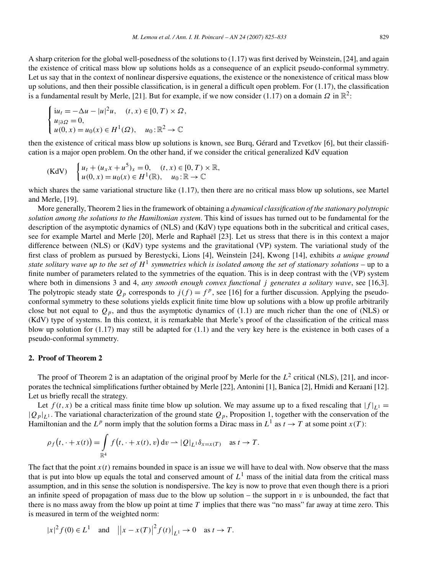A sharp criterion for the global well-posedness of the solutions to (1.17) was first derived by Weinstein, [24], and again the existence of critical mass blow up solutions holds as a consequence of an explicit pseudo-conformal symmetry. Let us say that in the context of nonlinear dispersive equations, the existence or the nonexistence of critical mass blow up solutions, and then their possible classification, is in general a difficult open problem. For  $(1.17)$ , the classification is a fundamental result by Merle, [21]. But for example, if we now consider (1.17) on a domain  $\Omega$  in  $\mathbb{R}^2$ :

$$
\begin{cases}\n\mathrm{i}u_t = -\Delta u - |u|^2 u, & (t, x) \in [0, T) \times \Omega, \\
u_{\vert \partial \Omega} = 0, \\
u(0, x) = u_0(x) \in H^1(\Omega), & u_0: \mathbb{R}^2 \to \mathbb{C}\n\end{cases}
$$

then the existence of critical mass blow up solutions is known, see Burq, Gérard and Tzvetkov [6], but their classification is a major open problem. On the other hand, if we consider the critical generalized KdV equation

(KdV) 
$$
\begin{cases} u_t + (u_x x + u^5)_x = 0, & (t, x) \in [0, T) \times \mathbb{R}, \\ u(0, x) = u_0(x) \in H^1(\mathbb{R}), & u_0: \mathbb{R} \to \mathbb{C} \end{cases}
$$

which shares the same variational structure like (1.17), then there are no critical mass blow up solutions, see Martel and Merle, [19].

More generally, Theorem 2 lies in the framework of obtaining a *dynamical classification of the stationary polytropic solution among the solutions to the Hamiltonian system*. This kind of issues has turned out to be fundamental for the description of the asymptotic dynamics of (NLS) and (KdV) type equations both in the subcritical and critical cases, see for example Martel and Merle [20], Merle and Raphaël [23]. Let us stress that there is in this context a major difference between (NLS) or (KdV) type systems and the gravitational (VP) system. The variational study of the first class of problem as pursued by Berestycki, Lions [4], Weinstein [24], Kwong [14], exhibits *a unique ground state solitary wave up to the set of*  $H^1$  *symmetries which is isolated among the set of stationary solutions* – up to a finite number of parameters related to the symmetries of the equation. This is in deep contrast with the (VP) system where both in dimensions 3 and 4, *any smooth enough convex functional j generates a solitary wave*, see [16,3]. The polytropic steady state  $Q_p$  corresponds to  $j(f) = f^p$ , see [16] for a further discussion. Applying the pseudoconformal symmetry to these solutions yields explicit finite time blow up solutions with a blow up profile arbitrarily close but not equal to  $Q_p$ , and thus the asymptotic dynamics of (1.1) are much richer than the one of (NLS) or (KdV) type of systems. In this context, it is remarkable that Merle's proof of the classification of the critical mass blow up solution for (1.17) may still be adapted for (1.1) and the very key here is the existence in both cases of a pseudo-conformal symmetry.

### **2. Proof of Theorem 2**

The proof of Theorem 2 is an adaptation of the original proof by Merle for the  $L^2$  critical (NLS), [21], and incorporates the technical simplifications further obtained by Merle [22], Antonini [1], Banica [2], Hmidi and Keraani [12]. Let us briefly recall the strategy.

Let  $f(t, x)$  be a critical mass finite time blow up solution. We may assume up to a fixed rescaling that  $|f|_{L^1} =$  $|Q_p|_{L^1}$ . The variational characterization of the ground state  $Q_p$ , Proposition 1, together with the conservation of the Hamiltonian and the  $L^p$  norm imply that the solution forms a Dirac mass in  $L^1$  as  $t \to T$  at some point  $x(T)$ :

$$
\rho_f(t,\cdot+x(t))=\int\limits_{\mathbb{R}^4}f\big(t,\cdot+x(t),v\big)\,\mathrm{d}v\rightharpoonup |\mathcal{Q}|_{L^1}\delta_{x=x(T)}\quad\text{as }t\to T.
$$

The fact that the point  $x(t)$  remains bounded in space is an issue we will have to deal with. Now observe that the mass that is put into blow up equals the total and conserved amount of  $L<sup>1</sup>$  mass of the initial data from the critical mass assumption, and in this sense the solution is nondispersive. The key is now to prove that even though there is a priori an infinite speed of propagation of mass due to the blow up solution – the support in  $\nu$  is unbounded, the fact that there is no mass away from the blow up point at time *T* implies that there was "no mass" far away at time zero. This is measured in term of the weighted norm:

$$
|x|^2 f(0) \in L^1
$$
 and  $||x - x(T)|^2 f(t)|_{L^1} \to 0$  as  $t \to T$ .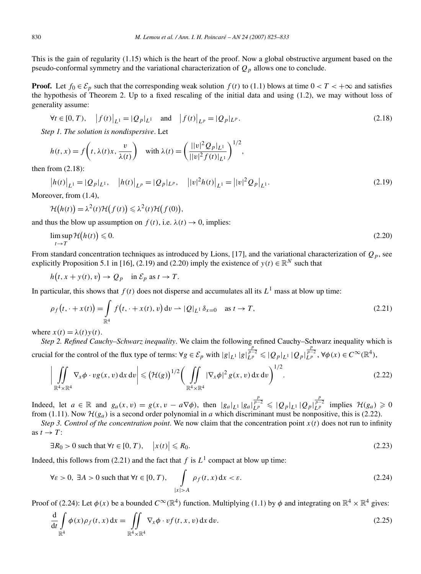This is the gain of regularity (1.15) which is the heart of the proof. Now a global obstructive argument based on the pseudo-conformal symmetry and the variational characterization of *Qp* allows one to conclude.

**Proof.** Let  $f_0 \in \mathcal{E}_p$  such that the corresponding weak solution  $f(t)$  to (1.1) blows at time  $0 < T < +\infty$  and satisfies the hypothesis of Theorem 2. Up to a fixed rescaling of the initial data and using (1.2), we may without loss of generality assume:

$$
\forall t \in [0, T), \quad |f(t)|_{L^{1}} = |Q_{p}|_{L^{1}} \quad \text{and} \quad |f(t)|_{L^{p}} = |Q_{p}|_{L^{p}}.
$$
 (2.18)

*Step 1. The solution is nondispersive*. Let

$$
h(t, x) = f\left(t, \lambda(t)x, \frac{v}{\lambda(t)}\right) \quad \text{with } \lambda(t) = \left(\frac{||v|^2 Q_p|_{L^1}}{||v|^2 f(t)|_{L^1}}\right)^{1/2},
$$

then from (2.18):

$$
\left|h(t)\right|_{L^{1}} = \left|Q_{p}\right|_{L^{1}}, \quad \left|h(t)\right|_{L^{p}} = \left|Q_{p}\right|_{L^{p}}, \quad \left| |v|^{2}h(t)\right|_{L^{1}} = \left| |v|^{2}Q_{p}\right|_{L^{1}}.
$$
\n(2.19)

Moreover, from (1.4),

$$
\mathcal{H}(h(t)) = \lambda^2(t)\mathcal{H}(f(t)) \leq \lambda^2(t)\mathcal{H}(f(0)),
$$

and thus the blow up assumption on  $f(t)$ , i.e.  $\lambda(t) \rightarrow 0$ , implies:

$$
\limsup_{t \to T} \mathcal{H}(h(t)) \le 0. \tag{2.20}
$$

From standard concentration techniques as introduced by Lions, [17], and the variational characterization of  $Q_p$ , see explicitly Proposition 5.1 in [16], (2.19) and (2.20) imply the existence of  $y(t) \in \mathbb{R}^N$  such that

 $h(t, x + y(t), v) \to Q_p$  in  $\mathcal{E}_p$  as  $t \to T$ .

In particular, this shows that  $f(t)$  does not disperse and accumulates all its  $L^1$  mass at blow up time:

$$
\rho_f(t, \cdot + x(t)) = \int_{\mathbb{R}^4} f(t, \cdot + x(t), v) dv \to |Q|_{L^1} \delta_{x=0} \quad \text{as } t \to T,
$$
\n(2.21)

where  $x(t) = \lambda(t)y(t)$ .

*Step 2. Refined Cauchy–Schwarz inequality*. We claim the following refined Cauchy–Schwarz inequality which is crucial for the control of the flux type of terms:  $\forall g \in \mathcal{E}_p$  with  $|g|_{L^1} |g|_{L^p}^{\frac{p}{p-2}} \leq |Q_p|_{L^1} |Q_p|_{L^p}^{\frac{p}{p-2}}$ ,  $\forall \phi(x) \in C^{\infty}(\mathbb{R}^4)$ ,

$$
\left| \iint\limits_{\mathbb{R}^4 \times \mathbb{R}^4} \nabla_x \phi \cdot v g(x, v) \, dx \, dv \right| \leqslant \left( \mathcal{H}(g) \right)^{1/2} \left( \iint\limits_{\mathbb{R}^4 \times \mathbb{R}^4} |\nabla_x \phi|^2 g(x, v) \, dx \, dv \right)^{1/2} . \tag{2.22}
$$

Indeed, let  $a \in \mathbb{R}$  and  $g_a(x, v) = g(x, v - a\nabla\phi)$ , then  $|g_a|_{L^1} |g_a|_{L^p}^{\frac{p}{p-2}} \leq |Q_p|_{L^1} |Q_p|_{L^p}^{\frac{p}{p-2}}$  implies  $\mathcal{H}(g_a) \geq 0$ from (1.11). Now  $\mathcal{H}(g_a)$  is a second order polynomial in *a* which discriminant must be nonpositive, this is (2.22).

*Step 3. Control of the concentration point.* We now claim that the concentration point  $x(t)$  does not run to infinity as  $t \rightarrow T$ :

$$
\exists R_0 > 0 \text{ such that } \forall t \in [0, T), \quad \left| x(t) \right| \leq R_0. \tag{2.23}
$$

Indeed, this follows from (2.21) and the fact that  $f$  is  $L^1$  compact at blow up time:

$$
\forall \varepsilon > 0, \ \exists A > 0 \text{ such that } \forall t \in [0, T), \quad \int_{|x| > A} \rho_f(t, x) \, dx < \varepsilon. \tag{2.24}
$$

Proof of (2.24): Let  $\phi(x)$  be a bounded  $C^{\infty}(\mathbb{R}^4)$  function. Multiplying (1.1) by  $\phi$  and integrating on  $\mathbb{R}^4 \times \mathbb{R}^4$  gives:

$$
\frac{\mathrm{d}}{\mathrm{d}t} \int_{\mathbb{R}^4} \phi(x) \rho_f(t, x) \, \mathrm{d}x = \iint_{\mathbb{R}^4 \times \mathbb{R}^4} \nabla_x \phi \cdot v f(t, x, v) \, \mathrm{d}x \, \mathrm{d}v. \tag{2.25}
$$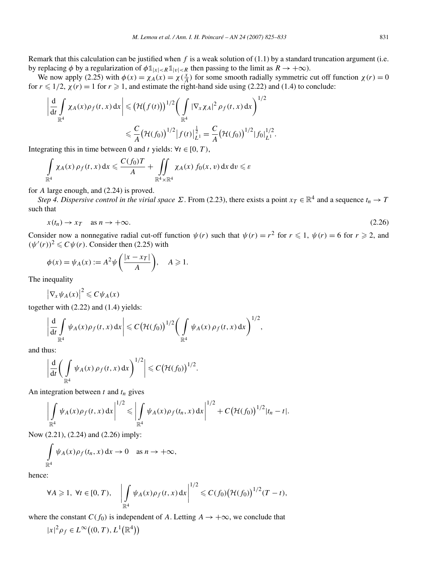Remark that this calculation can be justified when *f* is a weak solution of (1.1) by a standard truncation argument (i.e. by replacing  $\phi$  by a regularization of  $\phi \mathbb{1}_{|x| < R} \mathbb{1}_{|v| < R}$  then passing to the limit as  $R \to +\infty$ ).

We now apply (2.25) with  $\phi(x) = \chi_A(x) = \chi(\frac{x}{A})$  for some smooth radially symmetric cut off function  $\chi(r) = 0$ for  $r \leq 1/2$ ,  $\chi(r) = 1$  for  $r \geq 1$ , and estimate the right-hand side using (2.22) and (1.4) to conclude:

$$
\left| \frac{d}{dt} \int_{\mathbb{R}^4} \chi_A(x) \rho_f(t, x) dx \right| \leq (\mathcal{H}(f(t)))^{1/2} \left( \int_{\mathbb{R}^4} |\nabla_x \chi_A|^2 \rho_f(t, x) dx \right)^{1/2}
$$
  

$$
\leq \frac{C}{A} (\mathcal{H}(f_0))^{1/2} |f(t)|_{L^1}^{\frac{1}{2}} = \frac{C}{A} (\mathcal{H}(f_0))^{1/2} |f_0|_{L^1}^{1/2}.
$$

Integrating this in time between 0 and *t* yields:  $\forall t \in [0, T)$ ,

$$
\int_{\mathbb{R}^4} \chi_A(x) \, \rho_f(t,x) \, dx \leqslant \frac{C(f_0)T}{A} + \iint_{\mathbb{R}^4 \times \mathbb{R}^4} \chi_A(x) \, f_0(x,v) \, dx \, dv \leqslant \varepsilon
$$

for *A* large enough, and (2.24) is proved.

*Step 4. Dispersive control in the virial space*  $\Sigma$ . From (2.23), there exists a point  $x_T \in \mathbb{R}^4$  and a sequence  $t_n \to T$ such that

$$
x(t_n) \to x_T \quad \text{as } n \to +\infty. \tag{2.26}
$$

Consider now a nonnegative radial cut-off function  $\psi(r)$  such that  $\psi(r) = r^2$  for  $r \le 1$ ,  $\psi(r) = 6$  for  $r \ge 2$ , and  $(\psi'(r))^2 \leq C \psi(r)$ . Consider then (2.25) with

$$
\phi(x) = \psi_A(x) := A^2 \psi\left(\frac{|x - x_T|}{A}\right), \quad A \geqslant 1.
$$

The inequality

$$
\left|\nabla_x\psi_A(x)\right|^2\leqslant C\psi_A(x)
$$

together with (2.22) and (1.4) yields:

$$
\left|\frac{\mathrm{d}}{\mathrm{d}t}\int\limits_{\mathbb{R}^4}\psi_A(x)\rho_f(t,x)\,\mathrm{d}x\right|\leqslant C\big(\mathcal{H}(f_0)\big)^{1/2}\bigg(\int\limits_{\mathbb{R}^4}\psi_A(x)\,\rho_f(t,x)\,\mathrm{d}x\bigg)^{1/2},
$$

and thus:

$$
\left|\frac{\mathrm{d}}{\mathrm{d}t}\bigg(\int\limits_{\mathbb{R}^4}\psi_A(x)\,\rho_f(t,x)\,\mathrm{d}x\bigg)^{1/2}\right|\leqslant C\big(\mathcal{H}(f_0)\big)^{1/2}.
$$

An integration between *t* and *tn* gives

$$
\left|\int_{\mathbb{R}^4} \psi_A(x)\rho_f(t,x) dx\right|^{1/2} \leq \left|\int_{\mathbb{R}^4} \psi_A(x)\rho_f(t_n,x) dx\right|^{1/2} + C \big(\mathcal{H}(f_0)\big)^{1/2} |t_n-t|.
$$

Now (2.21), (2.24) and (2.26) imply:

$$
\int_{\mathbb{R}^4} \psi_A(x) \rho_f(t_n, x) dx \to 0 \quad \text{as } n \to +\infty,
$$

hence:

$$
\forall A \geqslant 1, \ \forall t \in [0, T), \quad \left| \int_{\mathbb{R}^4} \psi_A(x) \rho_f(t, x) \, dx \right|^{1/2} \leqslant C(f_0) \big( \mathcal{H}(f_0) \big)^{1/2} (T - t),
$$

where the constant  $C(f_0)$  is independent of *A*. Letting  $A \to +\infty$ , we conclude that

$$
|x|^2 \rho_f \in L^\infty((0,T),L^1(\mathbb{R}^4))
$$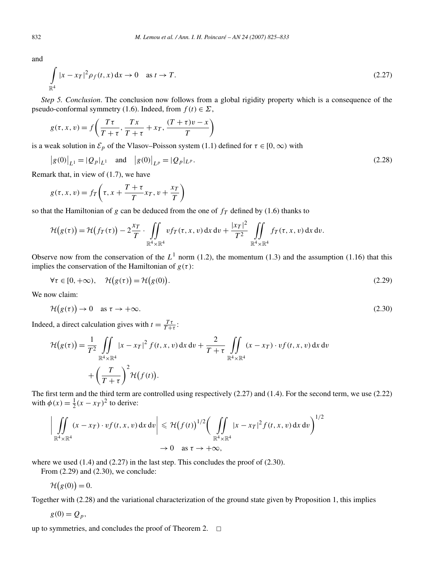and

$$
\int_{\mathbb{R}^4} |x - x_T|^2 \rho_f(t, x) dx \to 0 \quad \text{as } t \to T.
$$
\n(2.27)

*Step 5. Conclusion*. The conclusion now follows from a global rigidity property which is a consequence of the pseudo-conformal symmetry (1.6). Indeed, from  $f(t) \in \Sigma$ ,

$$
g(\tau, x, v) = f\left(\frac{T\tau}{T+\tau}, \frac{T x}{T+\tau} + x_T, \frac{(T+\tau)v - x}{T}\right)
$$

is a weak solution in  $\mathcal{E}_p$  of the Vlasov–Poisson system (1.1) defined for  $\tau \in [0, \infty)$  with

$$
|g(0)|_{L^1} = |Q_p|_{L^1}
$$
 and  $|g(0)|_{L^p} = |Q_p|_{L^p}$ . (2.28)

Remark that, in view of (1.7), we have

$$
g(\tau, x, v) = f_T\left(\tau, x + \frac{T + \tau}{T}x_T, v + \frac{x_T}{T}\right)
$$

so that the Hamiltonian of  $g$  can be deduced from the one of  $f_T$  defined by (1.6) thanks to

$$
\mathcal{H}\big(g(\tau)\big)=\mathcal{H}\big(f_T(\tau)\big)-2\frac{x_T}{T}\cdot\iint\limits_{\mathbb{R}^4\times\mathbb{R}^4} v f_T(\tau,x,v)\,dx\,dv+\frac{|x_T|^2}{T^2}\,\iint\limits_{\mathbb{R}^4\times\mathbb{R}^4} f_T(\tau,x,v)\,dx\,dv.
$$

Observe now from the conservation of the  $L^1$  norm (1.2), the momentum (1.3) and the assumption (1.16) that this implies the conservation of the Hamiltonian of  $g(\tau)$ :

$$
\forall \tau \in [0, +\infty), \quad \mathcal{H}(g(\tau)) = \mathcal{H}(g(0)). \tag{2.29}
$$

We now claim:

$$
\mathcal{H}(g(\tau)) \to 0 \quad \text{as } \tau \to +\infty. \tag{2.30}
$$

Indeed, a direct calculation gives with  $t = \frac{T\tau}{T+\tau}$ :

$$
\mathcal{H}(g(\tau)) = \frac{1}{T^2} \iint\limits_{\mathbb{R}^4 \times \mathbb{R}^4} |x - x_T|^2 f(t, x, v) dx dv + \frac{2}{T + \tau} \iint\limits_{\mathbb{R}^4 \times \mathbb{R}^4} (x - x_T) \cdot v f(t, x, v) dx dv + \left(\frac{T}{T + \tau}\right)^2 \mathcal{H}(f(t)).
$$

The first term and the third term are controlled using respectively (2.27) and (1.4). For the second term, we use (2.22) with  $\phi(x) = \frac{1}{2}(x - x_T)^2$  to derive:

$$
\left| \iint\limits_{\mathbb{R}^4 \times \mathbb{R}^4} (x - x_T) \cdot v f(t, x, v) \, dx \, dv \right| \leq \mathcal{H} \big( f(t) \big)^{1/2} \bigg( \iint\limits_{\mathbb{R}^4 \times \mathbb{R}^4} |x - x_T|^2 f(t, x, v) \, dx \, dv \bigg)^{1/2}
$$
  

$$
\to 0 \quad \text{as } \tau \to +\infty,
$$

where we used  $(1.4)$  and  $(2.27)$  in the last step. This concludes the proof of  $(2.30)$ .

From (2.29) and (2.30), we conclude:

 $H(g(0)) = 0.$ 

Together with (2.28) and the variational characterization of the ground state given by Proposition 1, this implies

$$
g(0) = Q_p,
$$

up to symmetries, and concludes the proof of Theorem 2.  $\Box$